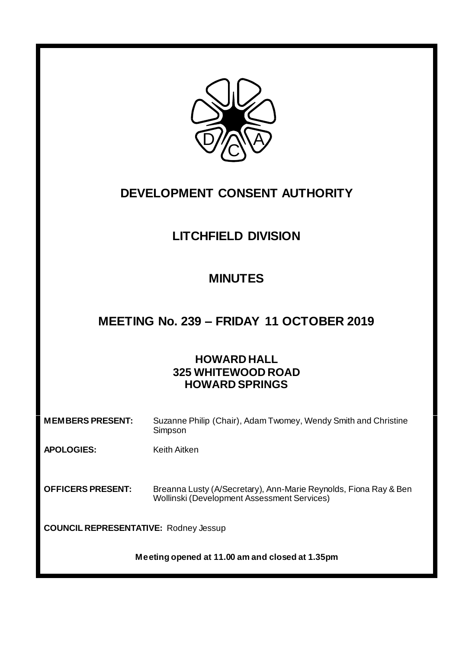

# **DEVELOPMENT CONSENT AUTHORITY**

# **LITCHFIELD DIVISION**

## **MINUTES**

## **MEETING No. 239 – FRIDAY 11 OCTOBER 2019**

### **HOWARD HALL 325 WHITEWOOD ROAD HOWARD SPRINGS**

| <b>MEMBERS PRESENT:</b>                         | Suzanne Philip (Chair), Adam Twomey, Wendy Smith and Christine<br>Simpson                                       |  |  |
|-------------------------------------------------|-----------------------------------------------------------------------------------------------------------------|--|--|
| <b>APOLOGIES:</b>                               | Keith Aitken                                                                                                    |  |  |
| <b>OFFICERS PRESENT:</b>                        | Breanna Lusty (A/Secretary), Ann-Marie Reynolds, Fiona Ray & Ben<br>Wollinski (Development Assessment Services) |  |  |
| <b>COUNCIL REPRESENTATIVE: Rodney Jessup</b>    |                                                                                                                 |  |  |
| Meeting opened at 11.00 am and closed at 1.35pm |                                                                                                                 |  |  |

٦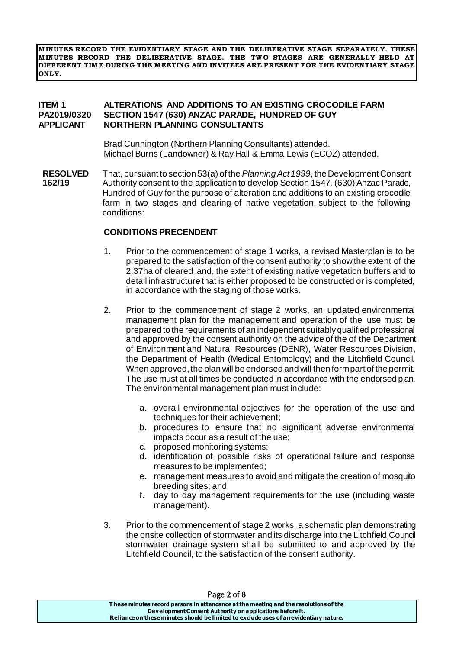**M INUTES RECORD THE EVIDENTIARY STAGE AND THE DELIBERATIVE STAGE SEPARATELY. THESE MINUTES RECORD THE DELIBERATIVE STAGE. THE TWO STAGES ARE GENERALLY HELD AT DIFFERENT TIM E DURING THE M EETING AND INVITEES ARE PRESENT FOR THE EVIDENTIARY STAGE ONLY.**

#### **ITEM 1 ALTERATIONS AND ADDITIONS TO AN EXISTING CROCODILE FARM PA2019/0320 SECTION 1547 (630) ANZAC PARADE, HUNDRED OF GUY NORTHERN PLANNING CONSULTANTS**

Brad Cunnington (Northern Planning Consultants) attended. Michael Burns (Landowner) & Ray Hall & Emma Lewis (ECOZ) attended.

**RESOLVED** That, pursuant to section 53(a) of the *Planning Act 1999*, the Development Consent Authority consent to the application to develop Section 1547, (630) Anzac Parade, Hundred of Guy for the purpose of alteration and additions to an existing crocodile farm in two stages and clearing of native vegetation, subject to the following conditions: **162/19**

#### **CONDITIONS PRECENDENT**

- 1. Prior to the commencement of stage 1 works, a revised Masterplan is to be prepared to the satisfaction of the consent authority to show the extent of the 2.37ha of cleared land, the extent of existing native vegetation buffers and to detail infrastructure that is either proposed to be constructed or is completed, in accordance with the staging of those works.
- 2. Prior to the commencement of stage 2 works, an updated environmental management plan for the management and operation of the use must be prepared to the requirements of an independent suitably qualified professional and approved by the consent authority on the advice of the of the Department of Environment and Natural Resources (DENR), Water Resources Division, the Department of Health (Medical Entomology) and the Litchfield Council. When approved, the plan will be endorsed and will then form part of the permit. The use must at all times be conducted in accordance with the endorsed plan. The environmental management plan must include:
	- a. overall environmental objectives for the operation of the use and techniques for their achievement;
	- b. procedures to ensure that no significant adverse environmental impacts occur as a result of the use;
	- c. proposed monitoring systems;
	- d. identification of possible risks of operational failure and response measures to be implemented;
	- e. management measures to avoid and mitigate the creation of mosquito breeding sites; and
	- f. day to day management requirements for the use (including waste management).
- 3. Prior to the commencement of stage 2 works, a schematic plan demonstrating the onsite collection of stormwater and its discharge into the Litchfield Council stormwater drainage system shall be submitted to and approved by the Litchfield Council, to the satisfaction of the consent authority.

| Page 2 of 8                                                                           |  |
|---------------------------------------------------------------------------------------|--|
| These minutes record persons in attendance at the meeting and the resolutions of the  |  |
| Development Consent Authority on applications before it.                              |  |
| Reliance on these minutes should be limited to exclude uses of an evidentiary nature. |  |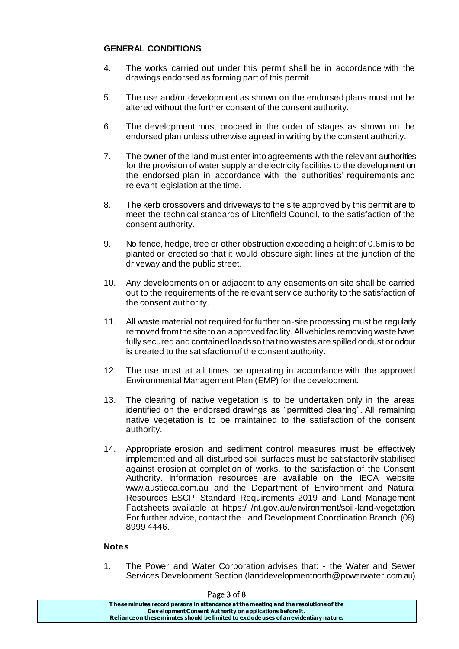#### **GENERAL CONDITIONS**

- 4. The works carried out under this permit shall be in accordance with the drawings endorsed as forming part of this permit.
- 5. The use and/or development as shown on the endorsed plans must not be altered without the further consent of the consent authority.
- 6. The development must proceed in the order of stages as shown on the endorsed plan unless otherwise agreed in writing by the consent authority.
- 7. The owner of the land must enter into agreements with the relevant authorities for the provision of water supply and electricity facilities to the development on the endorsed plan in accordance with the authorities' requirements and relevant legislation at the time.
- 8. The kerb crossovers and driveways to the site approved by this permit are to meet the technical standards of Litchfield Council, to the satisfaction of the consent authority.
- 9. No fence, hedge, tree or other obstruction exceeding a height of 0.6m is to be planted or erected so that it would obscure sight lines at the junction of the driveway and the public street.
- 10. Any developments on or adjacent to any easements on site shall be carried out to the requirements of the relevant service authority to the satisfaction of the consent authority.
- 11. All waste material not required for further on-site processing must be regularly removed from the site to an approved facility. All vehicles removing waste have fully secured and contained loads so that no wastes are spilled or dust or odour is created to the satisfaction of the consent authority.
- 12. The use must at all times be operating in accordance with the approved Environmental Management Plan (EMP) for the development.
- 13. The clearing of native vegetation is to be undertaken only in the areas identified on the endorsed drawings as "permitted clearing". All remaining native vegetation is to be maintained to the satisfaction of the consent authority.
- 14. Appropriate erosion and sediment control measures must be effectively implemented and all disturbed soil surfaces must be satisfactorily stabilised against erosion at completion of works, to the satisfaction of the Consent Authority. Information resources are available on the IECA website www.austieca.com.au and the Department of Environment and Natural Resources ESCP Standard Requirements 2019 and Land Management Factsheets available at https:/ /nt.gov.au/environment/soil-land-vegetation. For further advice, contact the Land Development Coordination Branch: (08) 8999 4446.

#### **Notes**

1. The Power and Water Corporation advises that: - the Water and Sewer Services Development Section (landdevelopmentnorth@powerwater.com.au)

| Page 3 of 8                                                                           |  |
|---------------------------------------------------------------------------------------|--|
| These minutes record persons in attendance at the meeting and the resolutions of the  |  |
| Development Consent Authority on applications before it.                              |  |
| Reliance on these minutes should be limited to exclude uses of an evidentiary nature. |  |
|                                                                                       |  |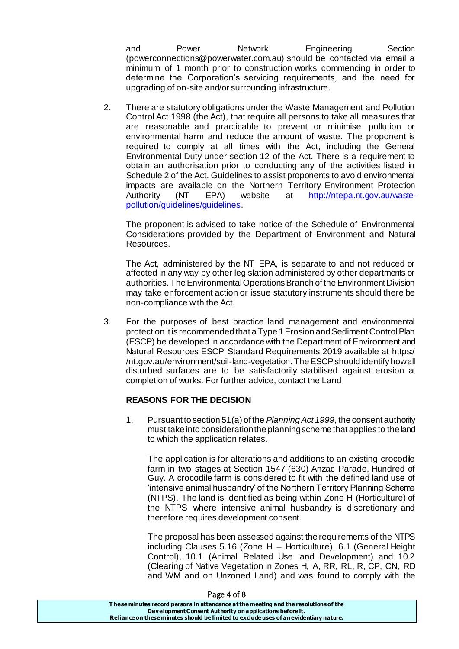and Power Network Engineering Section (powerconnections@powerwater.com.au) should be contacted via email a minimum of 1 month prior to construction works commencing in order to determine the Corporation's servicing requirements, and the need for upgrading of on-site and/or surrounding infrastructure.

2. There are statutory obligations under the Waste Management and Pollution Control Act 1998 (the Act), that require all persons to take all measures that are reasonable and practicable to prevent or minimise pollution or environmental harm and reduce the amount of waste. The proponent is required to comply at all times with the Act, including the General Environmental Duty under section 12 of the Act. There is a requirement to obtain an authorisation prior to conducting any of the activities listed in Schedule 2 of the Act. Guidelines to assist proponents to avoid environmental impacts are available on the Northern Territory Environment Protection<br>Authority (NT EPA) website at http://ntepa.nt.gov.au/waste-Authority (NT EPA) website at http://ntepa.nt.gov.au/wastepollution/guidelines/guidelines.

The proponent is advised to take notice of the Schedule of Environmental Considerations provided by the Department of Environment and Natural Resources.

The Act, administered by the NT EPA, is separate to and not reduced or affected in any way by other legislation administered by other departments or authorities. The Environmental Operations Branch of the Environment Division may take enforcement action or issue statutory instruments should there be non-compliance with the Act.

3. For the purposes of best practice land management and environmental protection it is recommended that a Type 1 Erosion and Sediment Control Plan (ESCP) be developed in accordance with the Department of Environment and Natural Resources ESCP Standard Requirements 2019 available at https:/ /nt.gov.au/environment/soil-land-vegetation. The ESCP should identify how all disturbed surfaces are to be satisfactorily stabilised against erosion at completion of works. For further advice, contact the Land

#### **REASONS FOR THE DECISION**

1. Pursuant to section 51(a) of the *Planning Act 1999,* the consent authority must take into consideration the planning scheme that applies to the land to which the application relates.

The application is for alterations and additions to an existing crocodile farm in two stages at Section 1547 (630) Anzac Parade, Hundred of Guy. A crocodile farm is considered to fit with the defined land use of 'intensive animal husbandry' of the Northern Territory Planning Scheme (NTPS). The land is identified as being within Zone H (Horticulture) of the NTPS where intensive animal husbandry is discretionary and therefore requires development consent.

The proposal has been assessed against the requirements of the NTPS including Clauses 5.16 (Zone H – Horticulture), 6.1 (General Height Control), 10.1 (Animal Related Use and Development) and 10.2 (Clearing of Native Vegetation in Zones H, A, RR, RL, R, CP, CN, RD and WM and on Unzoned Land) and was found to comply with the

| rage 4 or o                                                                           |  |
|---------------------------------------------------------------------------------------|--|
| These minutes record persons in attendance at the meeting and the resolutions of the  |  |
| Development Consent Authority on applications before it.                              |  |
| Reliance on these minutes should be limited to exclude uses of an evidentiary nature. |  |
|                                                                                       |  |

#### $P$ age  $\Lambda$  of  $\Omega$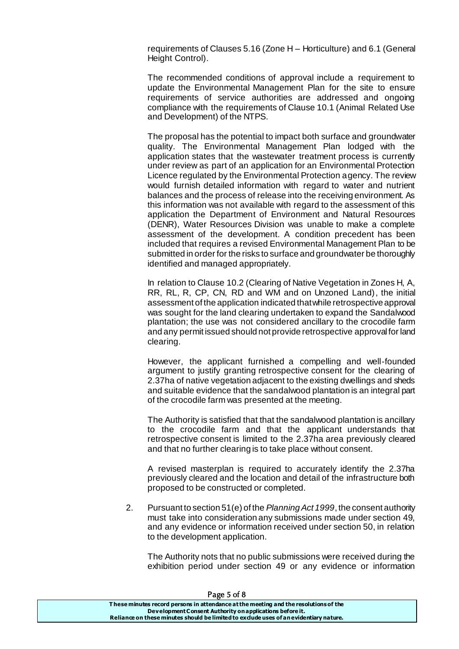requirements of Clauses 5.16 (Zone H – Horticulture) and 6.1 (General Height Control).

The recommended conditions of approval include a requirement to update the Environmental Management Plan for the site to ensure requirements of service authorities are addressed and ongoing compliance with the requirements of Clause 10.1 (Animal Related Use and Development) of the NTPS.

The proposal has the potential to impact both surface and groundwater quality. The Environmental Management Plan lodged with the application states that the wastewater treatment process is currently under review as part of an application for an Environmental Protection Licence regulated by the Environmental Protection agency. The review would furnish detailed information with regard to water and nutrient balances and the process of release into the receiving environment. As this information was not available with regard to the assessment of this application the Department of Environment and Natural Resources (DENR), Water Resources Division was unable to make a complete assessment of the development. A condition precedent has been included that requires a revised Environmental Management Plan to be submitted in order for the risks to surface and groundwater be thoroughly identified and managed appropriately.

In relation to Clause 10.2 (Clearing of Native Vegetation in Zones H, A, RR, RL, R, CP, CN, RD and WM and on Unzoned Land), the initial assessment of the application indicated that while retrospective approval was sought for the land clearing undertaken to expand the Sandalwood plantation; the use was not considered ancillary to the crocodile farm and any permit issued should not provide retrospective approval for land clearing.

However, the applicant furnished a compelling and well-founded argument to justify granting retrospective consent for the clearing of 2.37ha of native vegetation adjacent to the existing dwellings and sheds and suitable evidence that the sandalwood plantation is an integral part of the crocodile farm was presented at the meeting.

The Authority is satisfied that that the sandalwood plantation is ancillary to the crocodile farm and that the applicant understands that retrospective consent is limited to the 2.37ha area previously cleared and that no further clearing is to take place without consent.

A revised masterplan is required to accurately identify the 2.37ha previously cleared and the location and detail of the infrastructure both proposed to be constructed or completed.

2. Pursuant to section 51(e) of the *Planning Act 1999*, the consent authority must take into consideration any submissions made under section 49, and any evidence or information received under section 50, in relation to the development application.

The Authority nots that no public submissions were received during the exhibition period under section 49 or any evidence or information

| Page 5 of 8                                                                           |  |
|---------------------------------------------------------------------------------------|--|
| These minutes record persons in attendance at the meeting and the resolutions of the  |  |
| Development Consent Authority on applications before it.                              |  |
| Reliance on these minutes should be limited to exclude uses of an evidentiary nature. |  |

 $P = 80$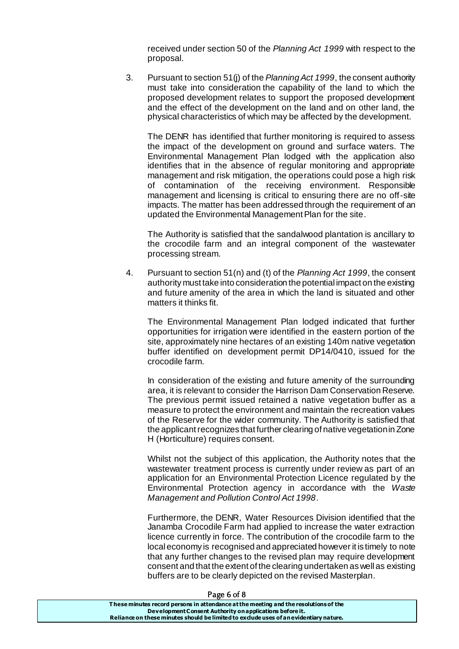received under section 50 of the *Planning Act 1999* with respect to the proposal.

3. Pursuant to section 51(j) of the *Planning Act 1999*, the consent authority must take into consideration the capability of the land to which the proposed development relates to support the proposed development and the effect of the development on the land and on other land, the physical characteristics of which may be affected by the development.

The DENR has identified that further monitoring is required to assess the impact of the development on ground and surface waters. The Environmental Management Plan lodged with the application also identifies that in the absence of regular monitoring and appropriate management and risk mitigation, the operations could pose a high risk of contamination of the receiving environment. Responsible management and licensing is critical to ensuring there are no off-site impacts. The matter has been addressed through the requirement of an updated the Environmental Management Plan for the site.

The Authority is satisfied that the sandalwood plantation is ancillary to the crocodile farm and an integral component of the wastewater processing stream.

4. Pursuant to section 51(n) and (t) of the *Planning Act 1999*, the consent authority must take into consideration the potential impact on the existing and future amenity of the area in which the land is situated and other matters it thinks fit.

The Environmental Management Plan lodged indicated that further opportunities for irrigation were identified in the eastern portion of the site, approximately nine hectares of an existing 140m native vegetation buffer identified on development permit DP14/0410, issued for the crocodile farm.

In consideration of the existing and future amenity of the surrounding area, it is relevant to consider the Harrison Dam Conservation Reserve. The previous permit issued retained a native vegetation buffer as a measure to protect the environment and maintain the recreation values of the Reserve for the wider community. The Authority is satisfied that the applicant recognizes that further clearing of native vegetation in Zone H (Horticulture) requires consent.

Whilst not the subject of this application, the Authority notes that the wastewater treatment process is currently under review as part of an application for an Environmental Protection Licence regulated by the Environmental Protection agency in accordance with the *Waste Management and Pollution Control Act 1998*.

Furthermore, the DENR, Water Resources Division identified that the Janamba Crocodile Farm had applied to increase the water extraction licence currently in force. The contribution of the crocodile farm to the local economy is recognised and appreciated however it is timely to note that any further changes to the revised plan may require development consent and that the extent of the clearing undertaken as well as existing buffers are to be clearly depicted on the revised Masterplan.

| $1.45$ $0.010$                                                                        |  |
|---------------------------------------------------------------------------------------|--|
| These minutes record persons in attendance at the meeting and the resolutions of the  |  |
| Development Consent Authority on applications before it.                              |  |
| Reliance on these minutes should be limited to exclude uses of an evidentiary nature. |  |
|                                                                                       |  |

#### Page 6 of 8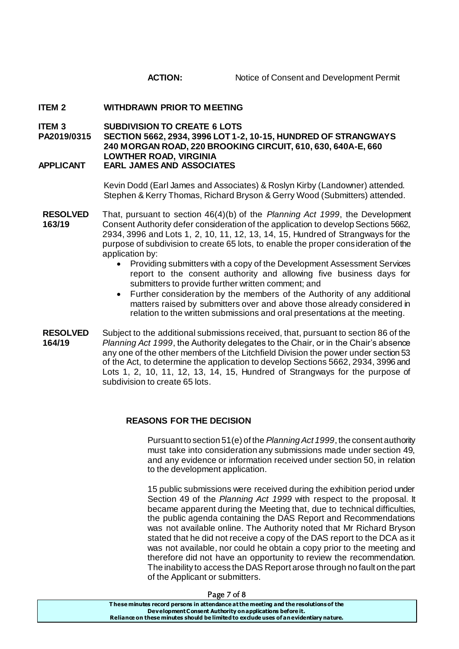#### **ITEM 2 WITHDRAWN PRIOR TO MEETING**

**ITEM 3 SUBDIVISION TO CREATE 6 LOTS**

**PA2019/0315 SECTION 5662, 2934, 3996 LOT 1-2, 10-15, HUNDRED OF STRANGWAYS 240 MORGAN ROAD, 220 BROOKING CIRCUIT, 610, 630, 640A-E, 660 LOWTHER ROAD, VIRGINIA APPLICANT EARL JAMES AND ASSOCIATES**

> Kevin Dodd (Earl James and Associates) & Roslyn Kirby (Landowner) attended. Stephen & Kerry Thomas, Richard Bryson & Gerry Wood (Submitters) attended.

- **RESOLVED** That, pursuant to section 46(4)(b) of the *Planning Act 1999*, the Development Consent Authority defer consideration of the application to develop Sections 5662, 2934, 3996 and Lots 1, 2, 10, 11, 12, 13, 14, 15, Hundred of Strangways for the purpose of subdivision to create 65 lots, to enable the proper consideration of the application by: **163/19**
	- Providing submitters with a copy of the Development Assessment Services report to the consent authority and allowing five business days for submitters to provide further written comment; and
	- Further consideration by the members of the Authority of any additional matters raised by submitters over and above those already considered in relation to the written submissions and oral presentations at the meeting.
- **RESOLVED** Subject to the additional submissions received, that, pursuant to section 86 of the *Planning Act 1999*, the Authority delegates to the Chair, or in the Chair's absence any one of the other members of the Litchfield Division the power under section 53 of the Act, to determine the application to develop Sections 5662, 2934, 3996 and Lots 1, 2, 10, 11, 12, 13, 14, 15, Hundred of Strangways for the purpose of subdivision to create 65 lots. **164/19**

#### **REASONS FOR THE DECISION**

Pursuant to section 51(e) of the *Planning Act 1999*, the consent authority must take into consideration any submissions made under section 49, and any evidence or information received under section 50, in relation to the development application.

15 public submissions were received during the exhibition period under Section 49 of the *Planning Act 1999* with respect to the proposal. It became apparent during the Meeting that, due to technical difficulties, the public agenda containing the DAS Report and Recommendations was not available online. The Authority noted that Mr Richard Bryson stated that he did not receive a copy of the DAS report to the DCA as it was not available, nor could he obtain a copy prior to the meeting and therefore did not have an opportunity to review the recommendation. The inability to access the DAS Report arose through no fault on the part of the Applicant or submitters.

| Page 7 of 8                                                                                                                                                                                                                               |  |
|-------------------------------------------------------------------------------------------------------------------------------------------------------------------------------------------------------------------------------------------|--|
| These minutes record persons in attendance at the meeting and the resolutions of the<br>Development Consent Authority on applications before it.<br>Reliance on these minutes should be limited to exclude uses of an evidentiary nature. |  |
|                                                                                                                                                                                                                                           |  |